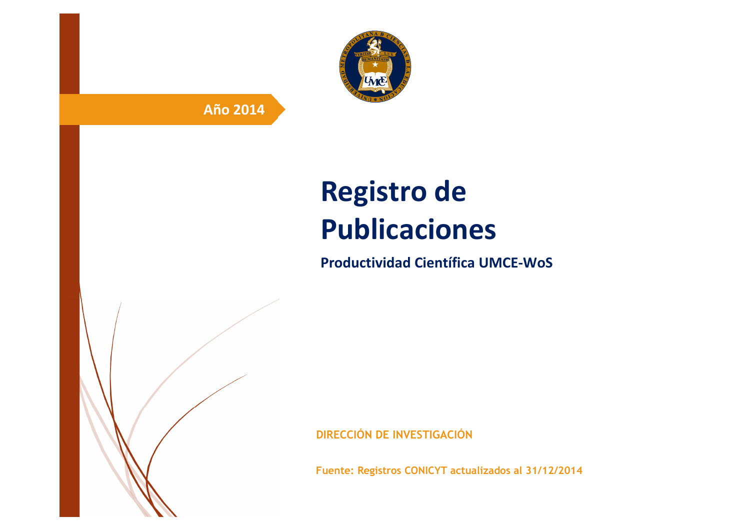

# **Año 2014**

# **Registro de Publicaciones**

**Productividad Científica UMCE-WoS** 

**DIRECCIÓN DE INVESTIGACIÓN**

**Fuente: Registros CONICYT actualizados al 31/12/2014**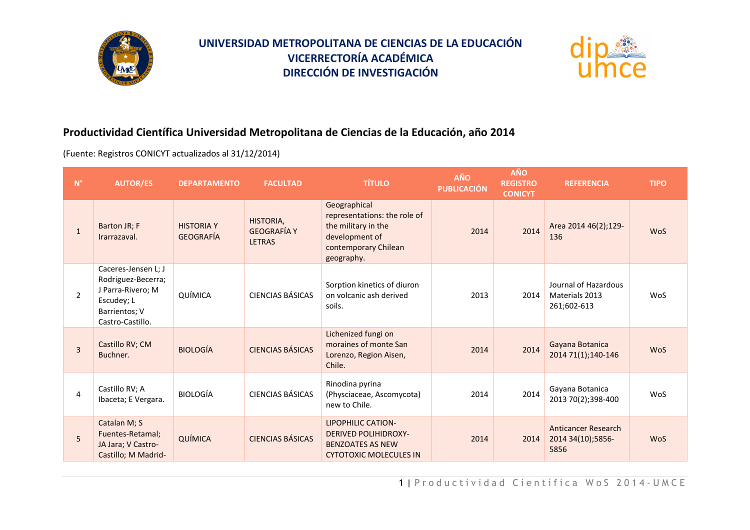



## **Productividad Científica Universidad Metropolitana de Ciencias de la Educación, año 2014**

(Fuente: Registros CONICYT actualizados al 31/12/2014)

| $\mathsf{N}^\circ$ | <b>AUTOR/ES</b>                                                                                                   | <b>DEPARTAMENTO</b>                   | <b>FACULTAD</b>                                  | <b>TÍTULO</b>                                                                                                               | <b>AÑO</b><br><b>PUBLICACIÓN</b> | <b>AÑO</b><br><b>REGISTRO</b><br><b>CONICYT</b> | <b>REFERENCIA</b>                                       | <b>TIPO</b> |
|--------------------|-------------------------------------------------------------------------------------------------------------------|---------------------------------------|--------------------------------------------------|-----------------------------------------------------------------------------------------------------------------------------|----------------------------------|-------------------------------------------------|---------------------------------------------------------|-------------|
| $\mathbf{1}$       | Barton JR; F<br>Irarrazaval.                                                                                      | <b>HISTORIA Y</b><br><b>GEOGRAFÍA</b> | HISTORIA,<br><b>GEOGRAFÍA Y</b><br><b>LETRAS</b> | Geographical<br>representations: the role of<br>the military in the<br>development of<br>contemporary Chilean<br>geography. | 2014                             | 2014                                            | Area 2014 46(2);129-<br>136                             | <b>WoS</b>  |
| $\overline{2}$     | Caceres-Jensen L; J<br>Rodriguez-Becerra;<br>J Parra-Rivero: M<br>Escudey; L<br>Barrientos; V<br>Castro-Castillo. | QUÍMICA                               | <b>CIENCIAS BÁSICAS</b>                          | Sorption kinetics of diuron<br>on volcanic ash derived<br>soils.                                                            | 2013                             | 2014                                            | Journal of Hazardous<br>Materials 2013<br>261;602-613   | WoS         |
| $\overline{3}$     | Castillo RV; CM<br>Buchner.                                                                                       | <b>BIOLOGÍA</b>                       | <b>CIENCIAS BÁSICAS</b>                          | Lichenized fungi on<br>moraines of monte San<br>Lorenzo, Region Aisen,<br>Chile.                                            | 2014                             | 2014                                            | Gayana Botanica<br>2014 71(1);140-146                   | <b>WoS</b>  |
| 4                  | Castillo RV; A<br>Ibaceta; E Vergara.                                                                             | <b>BIOLOGÍA</b>                       | CIENCIAS BÁSICAS                                 | Rinodina pyrina<br>(Physciaceae, Ascomycota)<br>new to Chile.                                                               | 2014                             | 2014                                            | Gayana Botanica<br>2013 70(2);398-400                   | WoS         |
| 5                  | Catalan M; S<br>Fuentes-Retamal;<br>JA Jara; V Castro-<br>Castillo; M Madrid-                                     | QUÍMICA                               | <b>CIENCIAS BÁSICAS</b>                          | <b>LIPOPHILIC CATION-</b><br><b>DERIVED POLIHIDROXY-</b><br><b>BENZOATES AS NEW</b><br><b>CYTOTOXIC MOLECULES IN</b>        | 2014                             | 2014                                            | <b>Anticancer Research</b><br>2014 34(10);5856-<br>5856 | <b>WoS</b>  |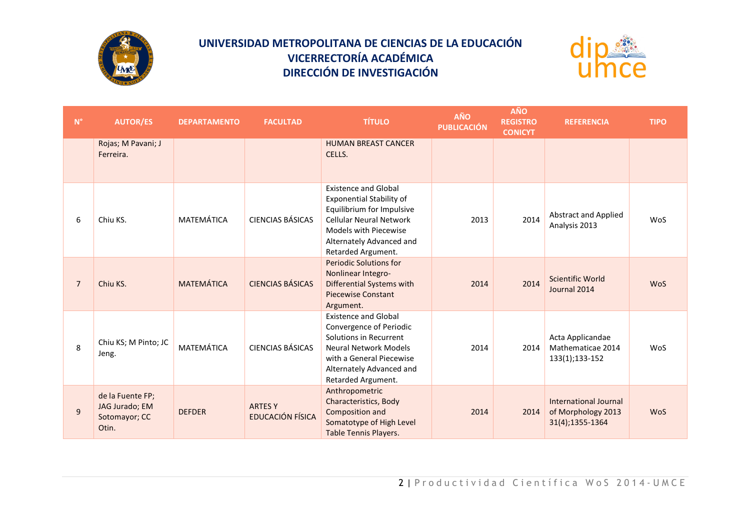



| $N^{\circ}$    | <b>AUTOR/ES</b>                                              | <b>DEPARTAMENTO</b> | <b>FACULTAD</b>                    | <b>TÍTULO</b>                                                                                                                                                                                            | AÑO<br><b>PUBLICACIÓN</b> | <b>AÑO</b><br><b>REGISTRO</b><br><b>CONICYT</b> | <b>REFERENCIA</b>                                              | <b>TIPO</b> |
|----------------|--------------------------------------------------------------|---------------------|------------------------------------|----------------------------------------------------------------------------------------------------------------------------------------------------------------------------------------------------------|---------------------------|-------------------------------------------------|----------------------------------------------------------------|-------------|
|                | Rojas; M Pavani; J<br>Ferreira.                              |                     |                                    | <b>HUMAN BREAST CANCER</b><br>CELLS.                                                                                                                                                                     |                           |                                                 |                                                                |             |
| 6              | Chiu KS.                                                     | MATEMÁTICA          | <b>CIENCIAS BÁSICAS</b>            | <b>Existence and Global</b><br><b>Exponential Stability of</b><br>Equilibrium for Impulsive<br><b>Cellular Neural Network</b><br>Models with Piecewise<br>Alternately Advanced and<br>Retarded Argument. | 2013                      | 2014                                            | <b>Abstract and Applied</b><br>Analysis 2013                   | WoS         |
| $\overline{7}$ | Chiu KS.                                                     | <b>MATEMÁTICA</b>   | <b>CIENCIAS BÁSICAS</b>            | <b>Periodic Solutions for</b><br>Nonlinear Integro-<br>Differential Systems with<br><b>Piecewise Constant</b><br>Argument.                                                                               | 2014                      | 2014                                            | <b>Scientific World</b><br>Journal 2014                        | <b>WoS</b>  |
| 8              | Chiu KS; M Pinto; JC<br>Jeng.                                | MATEMÁTICA          | <b>CIENCIAS BÁSICAS</b>            | <b>Existence and Global</b><br>Convergence of Periodic<br>Solutions in Recurrent<br>Neural Network Models<br>with a General Piecewise<br>Alternately Advanced and<br>Retarded Argument.                  | 2014                      | 2014                                            | Acta Applicandae<br>Mathematicae 2014<br>133(1);133-152        | WoS         |
| 9              | de la Fuente FP;<br>JAG Jurado; EM<br>Sotomayor; CC<br>Otin. | <b>DEFDER</b>       | <b>ARTES Y</b><br>EDUCACIÓN FÍSICA | Anthropometric<br>Characteristics, Body<br>Composition and<br>Somatotype of High Level<br>Table Tennis Players.                                                                                          | 2014                      | 2014                                            | International Journal<br>of Morphology 2013<br>31(4);1355-1364 | <b>WoS</b>  |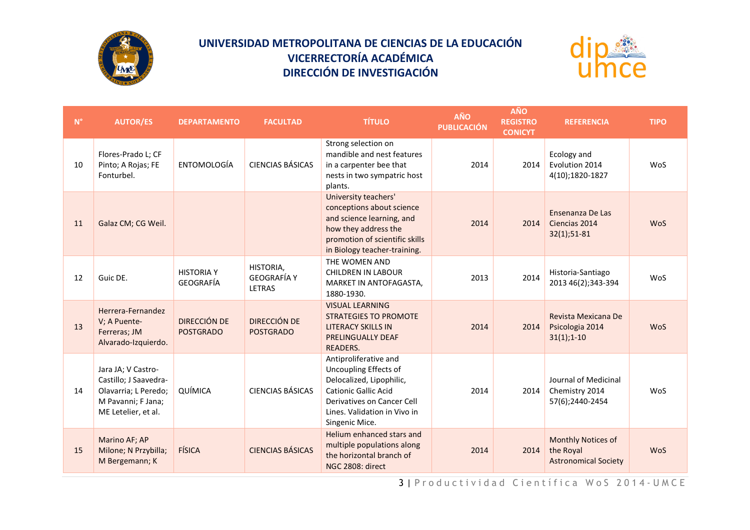



| $\mathsf{N}^\circ$ | <b>AUTOR/ES</b>                                                                                                  | <b>DEPARTAMENTO</b>              | <b>FACULTAD</b>                                  | <b>TÍTULO</b>                                                                                                                                                                             | AÑO<br><b>PUBLICACIÓN</b> | <b>AÑO</b><br><b>REGISTRO</b><br><b>CONICYT</b> | <b>REFERENCIA</b>                                              | <b>TIPO</b> |
|--------------------|------------------------------------------------------------------------------------------------------------------|----------------------------------|--------------------------------------------------|-------------------------------------------------------------------------------------------------------------------------------------------------------------------------------------------|---------------------------|-------------------------------------------------|----------------------------------------------------------------|-------------|
| 10                 | Flores-Prado L; CF<br>Pinto; A Rojas; FE<br>Fonturbel.                                                           | ENTOMOLOGÍA                      | <b>CIENCIAS BÁSICAS</b>                          | Strong selection on<br>mandible and nest features<br>in a carpenter bee that<br>nests in two sympatric host<br>plants.                                                                    | 2014                      | 2014                                            | Ecology and<br>Evolution 2014<br>4(10);1820-1827               | WoS         |
| 11                 | Galaz CM; CG Weil.                                                                                               |                                  |                                                  | University teachers'<br>conceptions about science<br>and science learning, and<br>how they address the<br>promotion of scientific skills<br>in Biology teacher-training.                  | 2014                      | 2014                                            | Ensenanza De Las<br>Ciencias 2014<br>$32(1); 51-81$            | <b>WoS</b>  |
| 12                 | Guic DE.                                                                                                         | <b>HISTORIA Y</b><br>GEOGRAFÍA   | HISTORIA,<br><b>GEOGRAFÍA Y</b><br><b>LETRAS</b> | THE WOMEN AND<br><b>CHILDREN IN LABOUR</b><br>MARKET IN ANTOFAGASTA,<br>1880-1930.                                                                                                        | 2013                      | 2014                                            | Historia-Santiago<br>2013 46(2);343-394                        | WoS         |
| 13                 | Herrera-Fernandez<br>V; A Puente-<br>Ferreras; JM<br>Alvarado-Izquierdo.                                         | DIRECCIÓN DE<br><b>POSTGRADO</b> | DIRECCIÓN DE<br><b>POSTGRADO</b>                 | <b>VISUAL LEARNING</b><br><b>STRATEGIES TO PROMOTE</b><br><b>LITERACY SKILLS IN</b><br><b>PRELINGUALLY DEAF</b><br>READERS.                                                               | 2014                      | 2014                                            | Revista Mexicana De<br>Psicologia 2014<br>$31(1); 1-10$        | <b>WoS</b>  |
| 14                 | Jara JA; V Castro-<br>Castillo; J Saavedra-<br>Olavarria; L Peredo;<br>M Pavanni; F Jana;<br>ME Letelier, et al. | QUÍMICA                          | <b>CIENCIAS BÁSICAS</b>                          | Antiproliferative and<br>Uncoupling Effects of<br>Delocalized, Lipophilic,<br><b>Cationic Gallic Acid</b><br>Derivatives on Cancer Cell<br>Lines. Validation in Vivo in<br>Singenic Mice. | 2014                      | 2014                                            | Journal of Medicinal<br>Chemistry 2014<br>57(6);2440-2454      | WoS         |
| 15                 | Marino AF; AP<br>Milone; N Przybilla;<br>M Bergemann; K                                                          | FÍSICA                           | <b>CIENCIAS BÁSICAS</b>                          | Helium enhanced stars and<br>multiple populations along<br>the horizontal branch of<br>NGC 2808: direct                                                                                   | 2014                      | 2014                                            | Monthly Notices of<br>the Royal<br><b>Astronomical Society</b> | <b>WoS</b>  |

3 | Productividad Científica WoS 2014-UMCE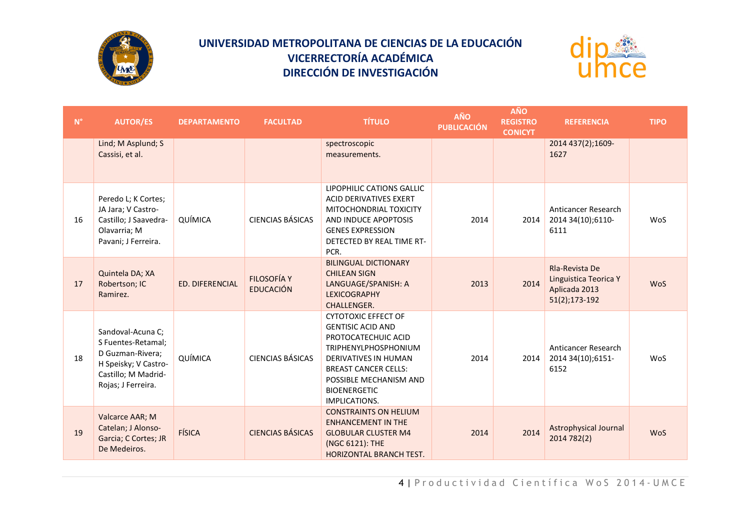



| $N^{\circ}$ | <b>AUTOR/ES</b>                                                                                                                  | <b>DEPARTAMENTO</b>    | <b>FACULTAD</b>                        | <b>TÍTULO</b>                                                                                                                                                                                                                                       | AÑO<br><b>PUBLICACIÓN</b> | <b>AÑO</b><br><b>REGISTRO</b><br><b>CONICYT</b> | <b>REFERENCIA</b>                                                         | <b>TIPO</b> |
|-------------|----------------------------------------------------------------------------------------------------------------------------------|------------------------|----------------------------------------|-----------------------------------------------------------------------------------------------------------------------------------------------------------------------------------------------------------------------------------------------------|---------------------------|-------------------------------------------------|---------------------------------------------------------------------------|-------------|
|             | Lind; M Asplund; S<br>Cassisi, et al.                                                                                            |                        |                                        | spectroscopic<br>measurements.                                                                                                                                                                                                                      |                           |                                                 | 2014 437(2);1609-<br>1627                                                 |             |
| 16          | Peredo L; K Cortes;<br>JA Jara; V Castro-<br>Castillo; J Saavedra-<br>Olavarria; M<br>Pavani; J Ferreira.                        | QUÍMICA                | <b>CIENCIAS BÁSICAS</b>                | LIPOPHILIC CATIONS GALLIC<br>ACID DERIVATIVES EXERT<br>MITOCHONDRIAL TOXICITY<br>AND INDUCE APOPTOSIS<br><b>GENES EXPRESSION</b><br>DETECTED BY REAL TIME RT-<br>PCR.                                                                               | 2014                      | 2014                                            | Anticancer Research<br>2014 34(10);6110-<br>6111                          | WoS         |
| 17          | Quintela DA; XA<br>Robertson; IC<br>Ramirez.                                                                                     | <b>ED. DIFERENCIAL</b> | <b>FILOSOFÍA Y</b><br><b>EDUCACIÓN</b> | <b>BILINGUAL DICTIONARY</b><br><b>CHILEAN SIGN</b><br>LANGUAGE/SPANISH: A<br><b>LEXICOGRAPHY</b><br>CHALLENGER.                                                                                                                                     | 2013                      | 2014                                            | Rla-Revista De<br>Linguistica Teorica Y<br>Aplicada 2013<br>51(2);173-192 | <b>WoS</b>  |
| 18          | Sandoval-Acuna C;<br>S Fuentes-Retamal;<br>D Guzman-Rivera;<br>H Speisky; V Castro-<br>Castillo; M Madrid-<br>Rojas; J Ferreira. | QUÍMICA                | <b>CIENCIAS BÁSICAS</b>                | <b>CYTOTOXIC EFFECT OF</b><br><b>GENTISIC ACID AND</b><br>PROTOCATECHUIC ACID<br><b>TRIPHENYLPHOSPHONIUM</b><br><b>DERIVATIVES IN HUMAN</b><br><b>BREAST CANCER CELLS:</b><br>POSSIBLE MECHANISM AND<br><b>BIOENERGETIC</b><br><b>IMPLICATIONS.</b> | 2014                      | 2014                                            | Anticancer Research<br>2014 34(10);6151-<br>6152                          | WoS         |
| 19          | Valcarce AAR; M<br>Catelan; J Alonso-<br>Garcia; C Cortes; JR<br>De Medeiros.                                                    | FÍSICA                 | <b>CIENCIAS BÁSICAS</b>                | <b>CONSTRAINTS ON HELIUM</b><br><b>ENHANCEMENT IN THE</b><br><b>GLOBULAR CLUSTER M4</b><br>(NGC 6121): THE<br>HORIZONTAL BRANCH TEST.                                                                                                               | 2014                      | 2014                                            | <b>Astrophysical Journal</b><br>2014 782(2)                               | <b>WoS</b>  |